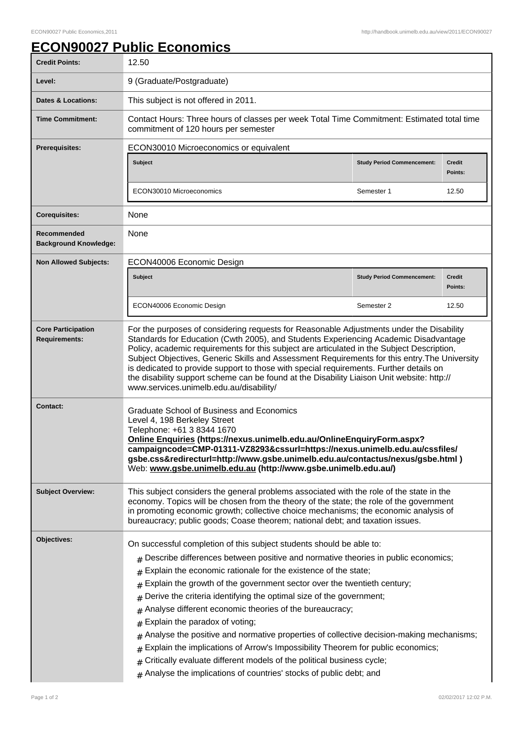## **ECON90027 Public Economics**

| <b>Credit Points:</b>                             | 12.50                                                                                                                                                                                                                                                                                                                                                                                                                                                                                                                                                                                                                                                                                                                                                                                                                                         |                                   |                          |
|---------------------------------------------------|-----------------------------------------------------------------------------------------------------------------------------------------------------------------------------------------------------------------------------------------------------------------------------------------------------------------------------------------------------------------------------------------------------------------------------------------------------------------------------------------------------------------------------------------------------------------------------------------------------------------------------------------------------------------------------------------------------------------------------------------------------------------------------------------------------------------------------------------------|-----------------------------------|--------------------------|
| Level:                                            | 9 (Graduate/Postgraduate)                                                                                                                                                                                                                                                                                                                                                                                                                                                                                                                                                                                                                                                                                                                                                                                                                     |                                   |                          |
| Dates & Locations:                                | This subject is not offered in 2011.                                                                                                                                                                                                                                                                                                                                                                                                                                                                                                                                                                                                                                                                                                                                                                                                          |                                   |                          |
| <b>Time Commitment:</b>                           | Contact Hours: Three hours of classes per week Total Time Commitment: Estimated total time<br>commitment of 120 hours per semester                                                                                                                                                                                                                                                                                                                                                                                                                                                                                                                                                                                                                                                                                                            |                                   |                          |
| <b>Prerequisites:</b>                             | ECON30010 Microeconomics or equivalent                                                                                                                                                                                                                                                                                                                                                                                                                                                                                                                                                                                                                                                                                                                                                                                                        |                                   |                          |
|                                                   | <b>Subject</b>                                                                                                                                                                                                                                                                                                                                                                                                                                                                                                                                                                                                                                                                                                                                                                                                                                | <b>Study Period Commencement:</b> | Credit<br>Points:        |
|                                                   | ECON30010 Microeconomics                                                                                                                                                                                                                                                                                                                                                                                                                                                                                                                                                                                                                                                                                                                                                                                                                      | Semester 1                        | 12.50                    |
| <b>Corequisites:</b>                              | None                                                                                                                                                                                                                                                                                                                                                                                                                                                                                                                                                                                                                                                                                                                                                                                                                                          |                                   |                          |
| Recommended<br><b>Background Knowledge:</b>       | None                                                                                                                                                                                                                                                                                                                                                                                                                                                                                                                                                                                                                                                                                                                                                                                                                                          |                                   |                          |
| <b>Non Allowed Subjects:</b>                      | ECON40006 Economic Design                                                                                                                                                                                                                                                                                                                                                                                                                                                                                                                                                                                                                                                                                                                                                                                                                     |                                   |                          |
|                                                   | <b>Subject</b>                                                                                                                                                                                                                                                                                                                                                                                                                                                                                                                                                                                                                                                                                                                                                                                                                                | <b>Study Period Commencement:</b> | <b>Credit</b><br>Points: |
|                                                   | ECON40006 Economic Design                                                                                                                                                                                                                                                                                                                                                                                                                                                                                                                                                                                                                                                                                                                                                                                                                     | Semester 2                        | 12.50                    |
| <b>Core Participation</b><br><b>Requirements:</b> | For the purposes of considering requests for Reasonable Adjustments under the Disability<br>Standards for Education (Cwth 2005), and Students Experiencing Academic Disadvantage<br>Policy, academic requirements for this subject are articulated in the Subject Description,<br>Subject Objectives, Generic Skills and Assessment Requirements for this entry. The University<br>is dedicated to provide support to those with special requirements. Further details on<br>the disability support scheme can be found at the Disability Liaison Unit website: http://<br>www.services.unimelb.edu.au/disability/                                                                                                                                                                                                                            |                                   |                          |
| <b>Contact:</b>                                   | <b>Graduate School of Business and Economics</b><br>Level 4, 198 Berkeley Street<br>Telephone: +61 3 8344 1670<br>Online Enquiries (https://nexus.unimelb.edu.au/OnlineEnquiryForm.aspx?<br>campaigncode=CMP-01311-VZ8293&cssurl=https://nexus.unimelb.edu.au/cssfiles/<br>gsbe.css&redirecturl=http://www.gsbe.unimelb.edu.au/contactus/nexus/gsbe.html)<br>Web: www.gsbe.unimelb.edu.au (http://www.gsbe.unimelb.edu.au/)                                                                                                                                                                                                                                                                                                                                                                                                                   |                                   |                          |
| <b>Subject Overview:</b>                          | This subject considers the general problems associated with the role of the state in the<br>economy. Topics will be chosen from the theory of the state; the role of the government<br>in promoting economic growth; collective choice mechanisms; the economic analysis of<br>bureaucracy; public goods; Coase theorem; national debt; and taxation issues.                                                                                                                                                                                                                                                                                                                                                                                                                                                                                  |                                   |                          |
| Objectives:                                       | On successful completion of this subject students should be able to:<br>Describe differences between positive and normative theories in public economics;<br>#<br>Explain the economic rationale for the existence of the state;<br>Explain the growth of the government sector over the twentieth century;<br>#<br>Derive the criteria identifying the optimal size of the government;<br>Analyse different economic theories of the bureaucracy;<br>#<br>Explain the paradox of voting;<br>#<br>Analyse the positive and normative properties of collective decision-making mechanisms;<br>#<br>Explain the implications of Arrow's Impossibility Theorem for public economics;<br>#<br>Critically evaluate different models of the political business cycle;<br>#<br>$#$ Analyse the implications of countries' stocks of public debt; and |                                   |                          |